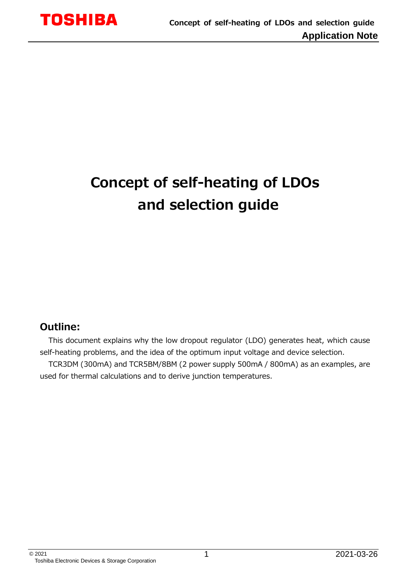# **Concept of self-heating of LDOs and selection guide**

## **Outline:**

This document explains why the low dropout regulator (LDO) generates heat, which cause self-heating problems, and the idea of the optimum input voltage and device selection.

TCR3DM (300mA) and TCR5BM/8BM (2 power supply 500mA / 800mA) as an examples, are used for thermal calculations and to derive junction temperatures.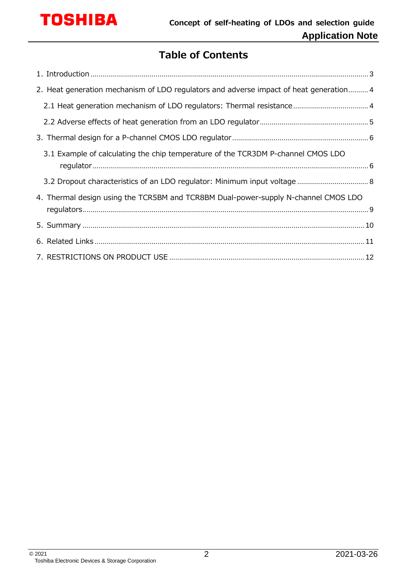

## **Table of Contents**

| 2. Heat generation mechanism of LDO regulators and adverse impact of heat generation 4 |  |
|----------------------------------------------------------------------------------------|--|
|                                                                                        |  |
|                                                                                        |  |
|                                                                                        |  |
| 3.1 Example of calculating the chip temperature of the TCR3DM P-channel CMOS LDO       |  |
|                                                                                        |  |
| 4. Thermal design using the TCR5BM and TCR8BM Dual-power-supply N-channel CMOS LDO     |  |
|                                                                                        |  |
|                                                                                        |  |
|                                                                                        |  |
|                                                                                        |  |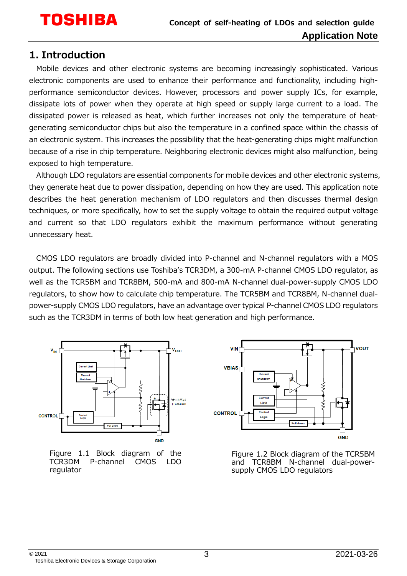### <span id="page-2-0"></span>**1. Introduction**

Mobile devices and other electronic systems are becoming increasingly sophisticated. Various electronic components are used to enhance their performance and functionality, including highperformance semiconductor devices. However, processors and power supply ICs, for example, dissipate lots of power when they operate at high speed or supply large current to a load. The dissipated power is released as heat, which further increases not only the temperature of heatgenerating semiconductor chips but also the temperature in a confined space within the chassis of an electronic system. This increases the possibility that the heat-generating chips might malfunction because of a rise in chip temperature. Neighboring electronic devices might also malfunction, being exposed to high temperature.

Although LDO regulators are essential components for mobile devices and other electronic systems, they generate heat due to power dissipation, depending on how they are used. This application note describes the heat generation mechanism of LDO regulators and then discusses thermal design techniques, or more specifically, how to set the supply voltage to obtain the required output voltage and current so that LDO regulators exhibit the maximum performance without generating unnecessary heat.

CMOS LDO regulators are broadly divided into P-channel and N-channel regulators with a MOS output. The following sections use Toshiba's TCR3DM, a 300-mA P-channel CMOS LDO regulator, as well as the TCR5BM and TCR8BM, 500-mA and 800-mA N-channel dual-power-supply CMOS LDO regulators, to show how to calculate chip temperature. The TCR5BM and TCR8BM, N-channel dualpower-supply CMOS LDO regulators, have an advantage over typical P-channel CMOS LDO regulators such as the TCR3DM in terms of both low heat generation and high performance.



Figure 1.1 Block diagram of the<br>TCR3DM P-channel CMOS LDO P-channel regulator



Figure 1.2 Block diagram of the TCR5BM and TCR8BM N-channel dual-powersupply CMOS LDO regulators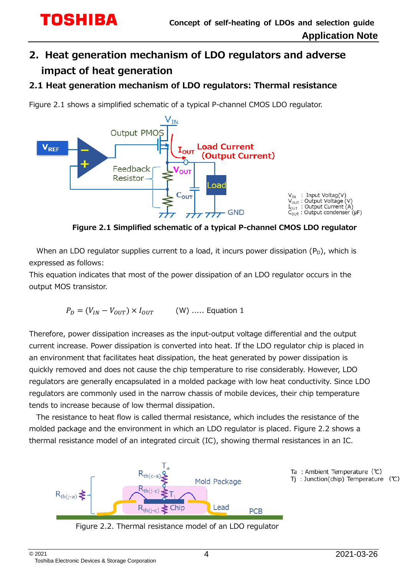## <span id="page-3-0"></span>**2. Heat generation mechanism of LDO regulators and adverse impact of heat generation**

### <span id="page-3-1"></span>**2.1 Heat generation mechanism of LDO regulators: Thermal resistance**

Figure 2.1 shows a simplified schematic of a typical P-channel CMOS LDO regulator.



**Figure 2.1 Simplified schematic of a typical P-channel CMOS LDO regulator**

When an LDO regulator supplies current to a load, it incurs power dissipation  $(P_D)$ , which is expressed as follows:

This equation indicates that most of the power dissipation of an LDO regulator occurs in the output MOS transistor.

$$
P_D = (V_{IN} - V_{OUT}) \times I_{OUT}
$$
 (W) ..... Equation 1

Therefore, power dissipation increases as the input-output voltage differential and the output current increase. Power dissipation is converted into heat. If the LDO regulator chip is placed in an environment that facilitates heat dissipation, the heat generated by power dissipation is quickly removed and does not cause the chip temperature to rise considerably. However, LDO regulators are generally encapsulated in a molded package with low heat conductivity. Since LDO regulators are commonly used in the narrow chassis of mobile devices, their chip temperature tends to increase because of low thermal dissipation.

The resistance to heat flow is called thermal resistance, which includes the resistance of the molded package and the environment in which an LDO regulator is placed. Figure 2.2 shows a thermal resistance model of an integrated circuit (IC), showing thermal resistances in an IC.



Figure 2.2. Thermal resistance model of an LDO regulator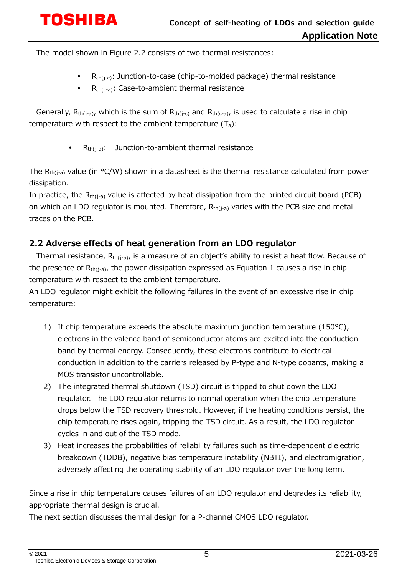# **TOSHIBA**

The model shown in Figure 2.2 consists of two thermal resistances:

- $R<sub>th(i-c)</sub>$ : Junction-to-case (chip-to-molded package) thermal resistance
- R<sub>th(c-a)</sub>: Case-to-ambient thermal resistance

Generally,  $R_{th(i-a)}$ , which is the sum of  $R_{th(i-c)}$  and  $R_{th(c-a)}$ , is used to calculate a rise in chip temperature with respect to the ambient temperature  $(T_a)$ :

R<sub>th(j-a)</sub>: Junction-to-ambient thermal resistance

The  $R_{th(i-a)}$  value (in °C/W) shown in a datasheet is the thermal resistance calculated from power dissipation.

In practice, the  $R_{th(j-a)}$  value is affected by heat dissipation from the printed circuit board (PCB) on which an LDO regulator is mounted. Therefore,  $R<sub>th(i-a)</sub>$  varies with the PCB size and metal traces on the PCB.

### <span id="page-4-0"></span>**2.2 Adverse effects of heat generation from an LDO regulator**

Thermal resistance, R<sub>th(j-a)</sub>, is a measure of an object's ability to resist a heat flow. Because of the presence of  $R_{th(i-a)}$ , the power dissipation expressed as Equation 1 causes a rise in chip temperature with respect to the ambient temperature.

An LDO regulator might exhibit the following failures in the event of an excessive rise in chip temperature:

- 1) If chip temperature exceeds the absolute maximum junction temperature  $(150^{\circ}C)$ , electrons in the valence band of semiconductor atoms are excited into the conduction band by thermal energy. Consequently, these electrons contribute to electrical conduction in addition to the carriers released by P-type and N-type dopants, making a MOS transistor uncontrollable.
- 2) The integrated thermal shutdown (TSD) circuit is tripped to shut down the LDO regulator. The LDO regulator returns to normal operation when the chip temperature drops below the TSD recovery threshold. However, if the heating conditions persist, the chip temperature rises again, tripping the TSD circuit. As a result, the LDO regulator cycles in and out of the TSD mode.
- 3) Heat increases the probabilities of reliability failures such as time-dependent dielectric breakdown (TDDB), negative bias temperature instability (NBTI), and electromigration, adversely affecting the operating stability of an LDO regulator over the long term.

Since a rise in chip temperature causes failures of an LDO regulator and degrades its reliability, appropriate thermal design is crucial.

The next section discusses thermal design for a P-channel CMOS LDO regulator.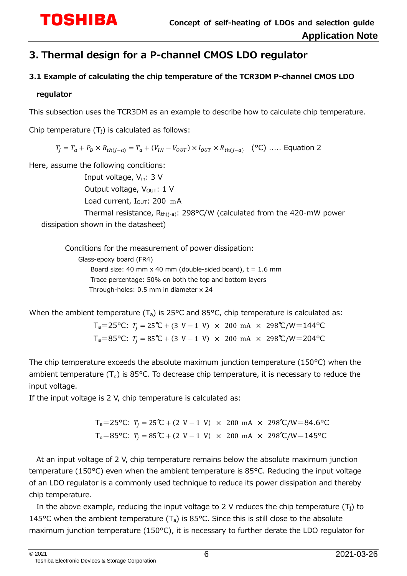## <span id="page-5-0"></span>**3. Thermal design for a P-channel CMOS LDO regulator**

#### <span id="page-5-1"></span>**3.1 Example of calculating the chip temperature of the TCR3DM P-channel CMOS LDO**

#### **regulator**

This subsection uses the TCR3DM as an example to describe how to calculate chip temperature.

Chip temperature  $(T_i)$  is calculated as follows:

 $T_i = T_a + P_D \times R_{th(i-a)} = T_a + (V_{IN} - V_{OUT}) \times I_{OUT} \times R_{th(i-a)}$  (°C) ..... Equation 2

Here, assume the following conditions:

Input voltage, V<sub>in</sub>: 3 V Output voltage,  $V_{\text{OUT}}$ : 1 V Load current,  $I_{\text{OUT}}$ : 200 mA Thermal resistance,  $R_{th(i-a)}$ : 298°C/W (calculated from the 420-mW power dissipation shown in the datasheet)

Conditions for the measurement of power dissipation: Glass-epoxy board (FR4) Board size: 40 mm x 40 mm (double-sided board),  $t = 1.6$  mm Trace percentage: 50% on both the top and bottom layers Through-holes: 0.5 mm in diameter x 24

When the ambient temperature  $(T_a)$  is 25°C and 85°C, chip temperature is calculated as:

 $T_a=25$ °C:  $T_i = 25$ °C + (3 V − 1 V) × 200 mA × 298°C/W=144°C  $T_a=85$ °C:  $T_i = 85$ °C + (3 V − 1 V) × 200 mA × 298°C/W=204°C

The chip temperature exceeds the absolute maximum junction temperature (150°C) when the ambient temperature  $(T_a)$  is 85°C. To decrease chip temperature, it is necessary to reduce the input voltage.

If the input voltage is 2 V, chip temperature is calculated as:

 $T_a=25$ °C:  $T_i = 25$ °C + (2 V − 1 V) × 200 mA × 298°C/W=84.6°C  $T_a=85$ °C:  $T_i = 85$ °C + (2 V − 1 V) × 200 mA × 298°C/W=145°C

At an input voltage of 2 V, chip temperature remains below the absolute maximum junction temperature (150°C) even when the ambient temperature is 85°C. Reducing the input voltage of an LDO regulator is a commonly used technique to reduce its power dissipation and thereby chip temperature.

In the above example, reducing the input voltage to 2 V reduces the chip temperature  $(T<sub>i</sub>)$  to 145°C when the ambient temperature  $(T_a)$  is 85°C. Since this is still close to the absolute maximum junction temperature (150°C), it is necessary to further derate the LDO regulator for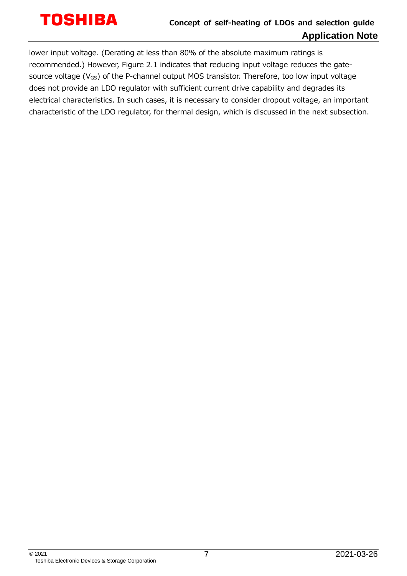# **TOSHIBA**

### **Concept of self-heating of LDOs and selection guide Application Note**

lower input voltage. (Derating at less than 80% of the absolute maximum ratings is recommended.) However, Figure 2.1 indicates that reducing input voltage reduces the gatesource voltage ( $V_{GS}$ ) of the P-channel output MOS transistor. Therefore, too low input voltage does not provide an LDO regulator with sufficient current drive capability and degrades its electrical characteristics. In such cases, it is necessary to consider dropout voltage, an important characteristic of the LDO regulator, for thermal design, which is discussed in the next subsection.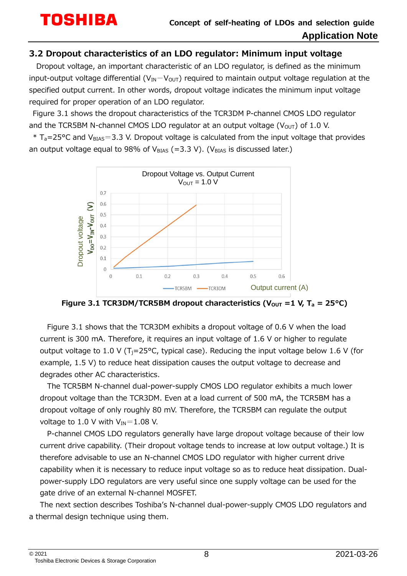#### <span id="page-7-0"></span>**3.2 Dropout characteristics of an LDO regulator: Minimum input voltage**

Dropout voltage, an important characteristic of an LDO regulator, is defined as the minimum input-output voltage differential ( $V_{IN}-V_{OUT}$ ) required to maintain output voltage regulation at the specified output current. In other words, dropout voltage indicates the minimum input voltage required for proper operation of an LDO regulator.

Figure 3.1 shows the dropout characteristics of the TCR3DM P-channel CMOS LDO regulator and the TCR5BM N-channel CMOS LDO regulator at an output voltage ( $V<sub>OUT</sub>$ ) of 1.0 V.

 $*$  T<sub>a</sub>=25°C and V<sub>BIAS</sub>=3.3 V. Dropout voltage is calculated from the input voltage that provides an output voltage equal to 98% of  $V_{BIAS}$  (=3.3 V). (V<sub>BIAS</sub> is discussed later.)



**Figure 3.1 TCR3DM/TCR5BM dropout characteristics (** $V_{\text{OUT}} = 1$  **V,**  $T_a = 25^{\circ}C$ **)** 

Figure 3.1 shows that the TCR3DM exhibits a dropout voltage of 0.6 V when the load current is 300 mA. Therefore, it requires an input voltage of 1.6 V or higher to regulate output voltage to 1.0 V (T<sub>i</sub>=25°C, typical case). Reducing the input voltage below 1.6 V (for example, 1.5 V) to reduce heat dissipation causes the output voltage to decrease and degrades other AC characteristics.

The TCR5BM N-channel dual-power-supply CMOS LDO regulator exhibits a much lower dropout voltage than the TCR3DM. Even at a load current of 500 mA, the TCR5BM has a dropout voltage of only roughly 80 mV. Therefore, the TCR5BM can regulate the output voltage to 1.0 V with  $V_{IN}$ =1.08 V.

P-channel CMOS LDO regulators generally have large dropout voltage because of their low current drive capability. (Their dropout voltage tends to increase at low output voltage.) It is therefore advisable to use an N-channel CMOS LDO regulator with higher current drive capability when it is necessary to reduce input voltage so as to reduce heat dissipation. Dualpower-supply LDO regulators are very useful since one supply voltage can be used for the gate drive of an external N-channel MOSFET.

The next section describes Toshiba's N-channel dual-power-supply CMOS LDO regulators and a thermal design technique using them.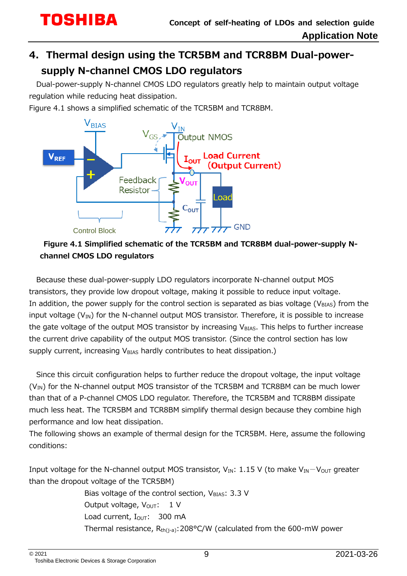## <span id="page-8-0"></span>**4. Thermal design using the TCR5BM and TCR8BM Dual-powersupply N-channel CMOS LDO regulators**

Dual-power-supply N-channel CMOS LDO regulators greatly help to maintain output voltage regulation while reducing heat dissipation.

Figure 4.1 shows a simplified schematic of the TCR5BM and TCR8BM.



### **Figure 4.1 Simplified schematic of the TCR5BM and TCR8BM dual-power-supply Nchannel CMOS LDO regulators**

Because these dual-power-supply LDO regulators incorporate N-channel output MOS transistors, they provide low dropout voltage, making it possible to reduce input voltage. In addition, the power supply for the control section is separated as bias voltage ( $V_{BIAS}$ ) from the input voltage  $(V_{IN})$  for the N-channel output MOS transistor. Therefore, it is possible to increase the gate voltage of the output MOS transistor by increasing  $V<sub>BIAS</sub>$ . This helps to further increase the current drive capability of the output MOS transistor. (Since the control section has low supply current, increasing  $V_{BIAS}$  hardly contributes to heat dissipation.)

Since this circuit configuration helps to further reduce the dropout voltage, the input voltage  $(V_{IN})$  for the N-channel output MOS transistor of the TCR5BM and TCR8BM can be much lower than that of a P-channel CMOS LDO regulator. Therefore, the TCR5BM and TCR8BM dissipate much less heat. The TCR5BM and TCR8BM simplify thermal design because they combine high performance and low heat dissipation.

The following shows an example of thermal design for the TCR5BM. Here, assume the following conditions:

Input voltage for the N-channel output MOS transistor,  $V_{IN}$ : 1.15 V (to make  $V_{IN}-V_{OUT}$  greater than the dropout voltage of the TCR5BM)

> Bias voltage of the control section,  $V_{\text{BIAS}}$ : 3.3 V Output voltage,  $V_{\text{OUT}}$ : 1 V Load current, I<sub>OUT</sub>: 300 mA Thermal resistance,  $R_{th(i-a)}$ : 208°C/W (calculated from the 600-mW power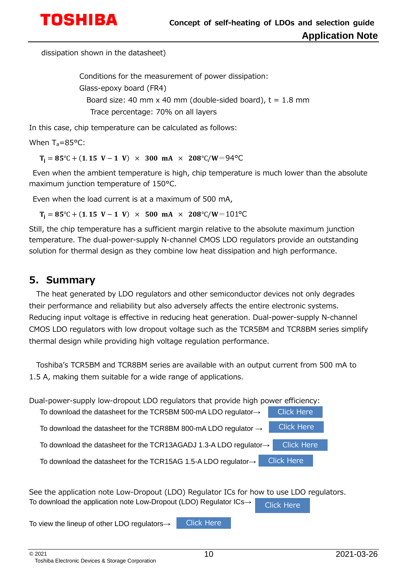

dissipation shown in the datasheet)

Conditions for the measurement of power dissipation: Glass-epoxy board (FR4) Board size: 40 mm x 40 mm (double-sided board),  $t = 1.8$  mm Trace percentage: 70% on all layers

In this case, chip temperature can be calculated as follows:

When  $T_a = 85^{\circ}$ C:

 $T_i = 85^{\circ}C + (1.15 V - 1 V) \times 300 mA \times 208^{\circ}C/W = 94^{\circ}C$ 

Even when the ambient temperature is high, chip temperature is much lower than the absolute maximum junction temperature of 150°C.

Even when the load current is at a maximum of 500 mA,

 $T_i = 85^{\circ}C + (1.15 V - 1 V) \times 500 mA \times 208^{\circ}C/W = 101^{\circ}C$ 

Still, the chip temperature has a sufficient margin relative to the absolute maximum junction temperature. The dual-power-supply N-channel CMOS LDO regulators provide an outstanding solution for thermal design as they combine low heat dissipation and high performance.

#### <span id="page-9-0"></span>**5. Summary**

The heat generated by LDO regulators and other semiconductor devices not only degrades their performance and reliability but also adversely affects the entire electronic systems. Reducing input voltage is effective in reducing heat generation. Dual-power-supply N-channel CMOS LDO regulators with low dropout voltage such as the TCR5BM and TCR8BM series simplify thermal design while providing high voltage regulation performance.

Toshiba's TCR5BM and TCR8BM series are available with an output current from 500 mA to 1.5 A, making them suitable for a wide range of applications.

| Dual-power-supply low-dropout LDO regulators that provide high power efficiency: |                   |  |
|----------------------------------------------------------------------------------|-------------------|--|
| To download the datasheet for the TCR5BM 500-mA LDO regulator $\rightarrow$      | <b>Click Here</b> |  |
| To download the datasheet for the TCR8BM 800-mA LDO regulator $\rightarrow$      | <b>Click Here</b> |  |
| To download the datasheet for the TCR13AGADJ 1.3-A LDO regulator→                | <b>Click Here</b> |  |
| To download the datasheet for the TCR15AG 1.5-A LDO regulator $\rightarrow$      | <b>Click Here</b> |  |

See the application note Low-Dropout (LDO) Regulator ICs for how to use LDO regulators. To download the application note Low-Dropout (LDO) Regulator ICs→ [Click Here](https://toshiba.semicon-storage.com/info/docget.jsp?did=13766&utm_source=PDF_AN&utm_medium=content&utm_campaign=x34_jp_x342_SRC_LDO-Thermal-ANE)

To view the lineup of other LDO regulators→

[Click Here](https://toshiba.semicon-storage.com/us/product/linear/ldo-regulator.html?utm_source=PDF_AN&utm_medium=content&utm_campaign=x34_jp_x342_SRC_LDO-Thermal-ANE)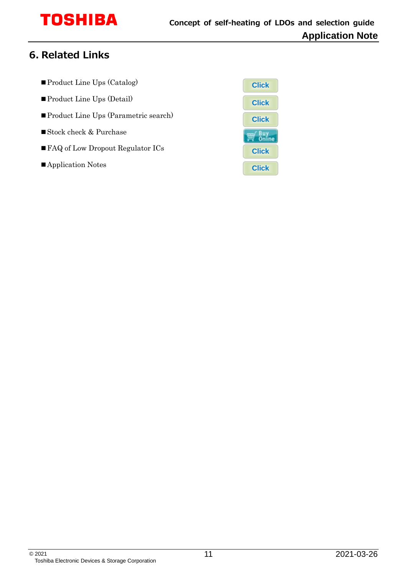# **TOSHIBA**

## <span id="page-10-0"></span>**6. Related Links**

- ■Product Line Ups (Catalog)
- ■Product Line Ups (Detail)
- Product Line Ups (Parametric search)
- ■Stock check & Purchase
- FAQ of Low Dropout Regulator ICs
- Application Notes

| <b>Click</b>   |
|----------------|
| <b>Click</b>   |
| <b>Click</b>   |
| ù li<br>Online |
| <b>Click</b>   |
| <b>Click</b>   |